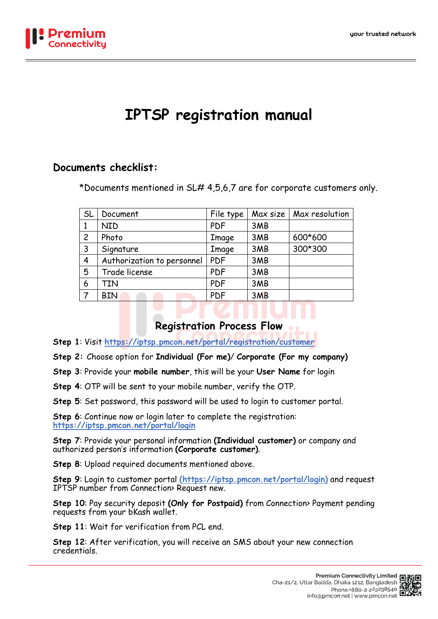

# **IPTSP registration manual**

#### **Documents checklist:**

\*Documents mentioned in SL# 4,5,6,7 are for corporate customers only.

| <b>SL</b>      | Document                   | File type  |     | Max size   Max resolution |
|----------------|----------------------------|------------|-----|---------------------------|
|                | <b>NID</b>                 | <b>PDF</b> | 3MB |                           |
| $\overline{c}$ | Photo                      | Image      | 3MB | 600*600                   |
| 3              | Signature                  | Image      | 3MB | 300*300                   |
| 4              | Authorization to personnel | <b>PDF</b> | 3MB |                           |
| 5              | Trade license              | <b>PDF</b> | 3MB |                           |
| 6              | TIN                        | <b>PDF</b> | 3MB |                           |
| .7             | <b>BIN</b>                 | <b>PDF</b> | 3MB |                           |

#### **Registration Process Flow**

**Step 1**: Visit **<https://iptsp.pmcon.net/portal/registration/customer>**

**Step 2:** Choose option for **Individual (For me)**/ **Corporate (For my company)**

**Step 3**: Provide your **mobile number**, this will be your **User Name** for login

**Step 4**: OTP will be sent to your mobile number, verify the OTP.

**Step 5**: Set password, this password will be used to login to customer portal.

**Step 6**: Continue now or login later to complete the registration: **<https://iptsp.pmcon.net/portal/login>**

**Step 7**: Provide your personal information **(Individual customer)** or company and authorized person's information **(Corporate customer)**.

**Step 8:** Upload required documents mentioned above.

**Step 9**: Login to customer portal **[\(https://iptsp.pmcon.net/portal/login\)](https://iptsp.pmcon.net/portal/login)** and request IPTSP number from Connection> Request new.

**Step 10**: Pay security deposit **(Only for Postpaid)** from Connection> Payment pending requests from your bKash wallet.

**Step 11**: Wait for verification from PCL end.

**Step 12**: After verification, you will receive an SMS about your new connection credentials.

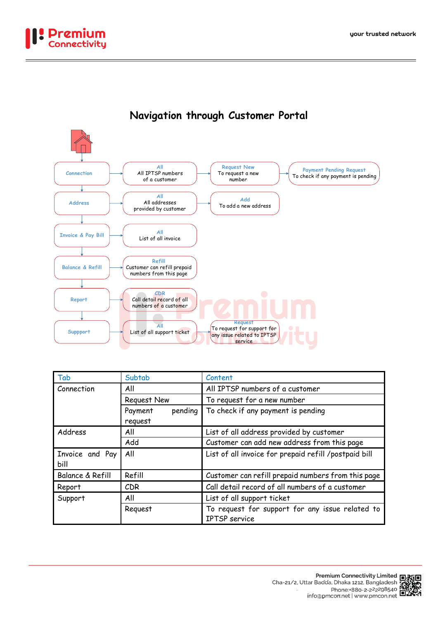



# **Navigation through Customer Portal**

| Tab                            | Subtab             | Content                                               |  |
|--------------------------------|--------------------|-------------------------------------------------------|--|
| Connection                     | All                | All IPTSP numbers of a customer                       |  |
|                                | Request New        | To request for a new number                           |  |
|                                | pending<br>Payment | To check if any payment is pending                    |  |
|                                | request            |                                                       |  |
| Address                        | All                | List of all address provided by customer              |  |
|                                | Add                | Customer can add new address from this page           |  |
| Invoice and Pay<br>All<br>bill |                    | List of all invoice for prepaid refill /postpaid bill |  |
| Balance & Refill               | Refill             | Customer can refill prepaid numbers from this page    |  |
| Report                         | CDR                | Call detail record of all numbers of a customer       |  |
| Support                        | All                | List of all support ticket                            |  |
|                                | Request            | To request for support for any issue related to       |  |
|                                |                    | <b>IPTSP</b> service                                  |  |